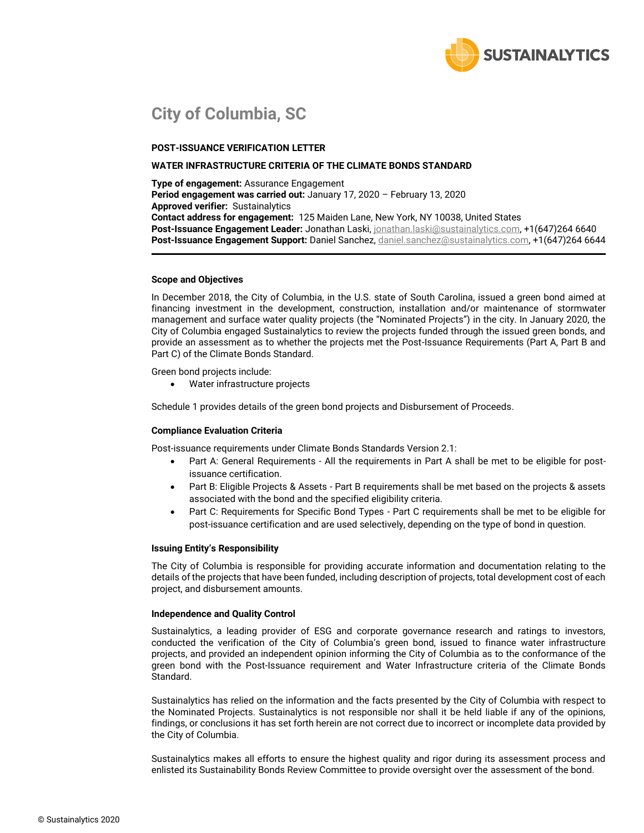

## **City of Columbia, SC**

#### **POST-ISSUANCE VERIFICATION LETTER**

#### **WATER INFRASTRUCTURE CRITERIA OF THE CLIMATE BONDS STANDARD**

**Type of engagement:** Assurance Engagement **Period engagement was carried out:** January 17, 2020 – February 13, 2020 **Approved verifier:** Sustainalytics **Contact address for engagement:** 125 Maiden Lane, New York, NY 10038, United States **Post-Issuance Engagement Leader:** Jonathan Laski[, jonathan.laski@sustainalytics.com,](mailto:jonathan.laski@sustainalytics.com) +1(647)264 6640 **Post-Issuance Engagement Support:** Daniel Sanchez, [daniel.sanchez@sustainalytics.com,](mailto:daniel.sanchez@sustainalytics.com) +1(647)264 6644

#### **Scope and Objectives**

In December 2018, the City of Columbia, in the U.S. state of South Carolina, issued a green bond aimed at financing investment in the development, construction, installation and/or maintenance of stormwater management and surface water quality projects (the "Nominated Projects") in the city. In January 2020, the City of Columbia engaged Sustainalytics to review the projects funded through the issued green bonds, and provide an assessment as to whether the projects met the Post-Issuance Requirements (Part A, Part B and Part C) of the Climate Bonds Standard.

Green bond projects include:

• Water infrastructure projects

Schedule 1 provides details of the green bond projects and Disbursement of Proceeds.

#### **Compliance Evaluation Criteria**

Post-issuance requirements under Climate Bonds Standards Version 2.1:

- Part A: General Requirements All the requirements in Part A shall be met to be eligible for postissuance certification.
- Part B: Eligible Projects & Assets Part B requirements shall be met based on the projects & assets associated with the bond and the specified eligibility criteria.
- Part C: Requirements for Specific Bond Types Part C requirements shall be met to be eligible for post-issuance certification and are used selectively, depending on the type of bond in question.

#### **Issuing Entity's Responsibility**

The City of Columbia is responsible for providing accurate information and documentation relating to the details of the projects that have been funded, including description of projects, total development cost of each project, and disbursement amounts.

#### **Independence and Quality Control**

Sustainalytics, a leading provider of ESG and corporate governance research and ratings to investors, conducted the verification of the City of Columbia's green bond, issued to finance water infrastructure projects, and provided an independent opinion informing the City of Columbia as to the conformance of the green bond with the Post-Issuance requirement and Water Infrastructure criteria of the Climate Bonds Standard.

Sustainalytics has relied on the information and the facts presented by the City of Columbia with respect to the Nominated Projects. Sustainalytics is not responsible nor shall it be held liable if any of the opinions, findings, or conclusions it has set forth herein are not correct due to incorrect or incomplete data provided by the City of Columbia.

Sustainalytics makes all efforts to ensure the highest quality and rigor during its assessment process and enlisted its Sustainability Bonds Review Committee to provide oversight over the assessment of the bond.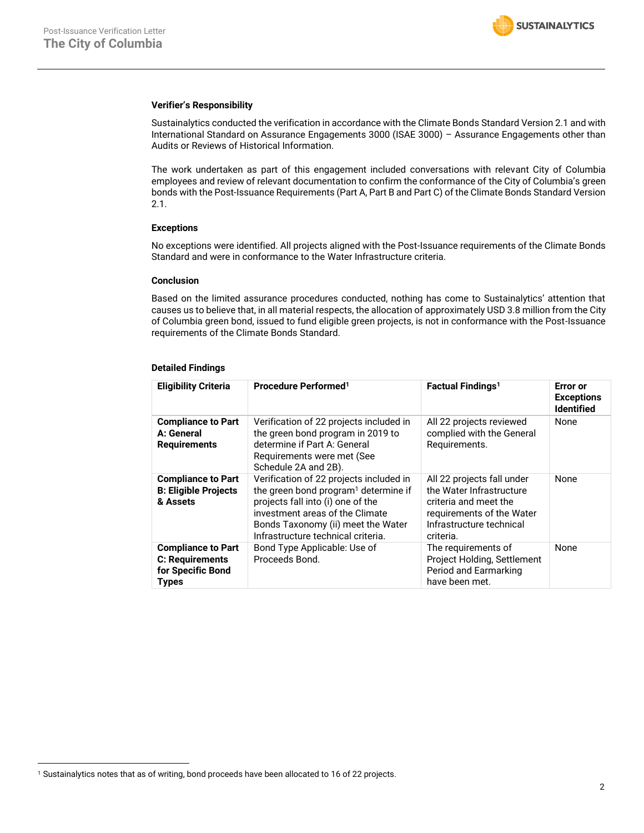#### **Verifier's Responsibility**

Sustainalytics conducted the verification in accordance with the Climate Bonds Standard Version 2.1 and with International Standard on Assurance Engagements 3000 (ISAE 3000) – Assurance Engagements other than Audits or Reviews of Historical Information.

The work undertaken as part of this engagement included conversations with relevant City of Columbia employees and review of relevant documentation to confirm the conformance of the City of Columbia's green bonds with the Post-Issuance Requirements (Part A, Part B and Part C) of the Climate Bonds Standard Version 2.1.

#### **Exceptions**

No exceptions were identified. All projects aligned with the Post-Issuance requirements of the Climate Bonds Standard and were in conformance to the Water Infrastructure criteria.

#### **Conclusion**

Based on the limited assurance procedures conducted, nothing has come to Sustainalytics' attention that causes us to believe that, in all material respects, the allocation of approximately USD 3.8 million from the City of Columbia green bond, issued to fund eligible green projects, is not in conformance with the Post-Issuance requirements of the Climate Bonds Standard.

#### **Detailed Findings**

<span id="page-1-0"></span>

| <b>Eligibility Criteria</b>                                                       | Procedure Performed <sup>1</sup>                                                                                                                                                                                                                | <b>Factual Findings<sup>1</sup></b>                                                                                                                   | Error or<br><b>Exceptions</b><br><b>Identified</b> |
|-----------------------------------------------------------------------------------|-------------------------------------------------------------------------------------------------------------------------------------------------------------------------------------------------------------------------------------------------|-------------------------------------------------------------------------------------------------------------------------------------------------------|----------------------------------------------------|
| <b>Compliance to Part</b><br>A: General<br><b>Requirements</b>                    | Verification of 22 projects included in<br>the green bond program in 2019 to<br>determine if Part A: General<br>Requirements were met (See<br>Schedule 2A and 2B).                                                                              | All 22 projects reviewed<br>complied with the General<br>Requirements.                                                                                | None                                               |
| <b>Compliance to Part</b><br><b>B: Eligible Projects</b><br>& Assets              | Verification of 22 projects included in<br>the green bond program <sup>1</sup> determine if<br>projects fall into (i) one of the<br>investment areas of the Climate<br>Bonds Taxonomy (ii) meet the Water<br>Infrastructure technical criteria. | All 22 projects fall under<br>the Water Infrastructure<br>criteria and meet the<br>requirements of the Water<br>Infrastructure technical<br>criteria. | None                                               |
| <b>Compliance to Part</b><br>C: Requirements<br>for Specific Bond<br><b>Types</b> | Bond Type Applicable: Use of<br>Proceeds Bond.                                                                                                                                                                                                  | The requirements of<br>Project Holding, Settlement<br>Period and Earmarking<br>have been met.                                                         | None                                               |

<sup>1</sup> Sustainalytics notes that as of writing, bond proceeds have been allocated to 16 of 22 projects.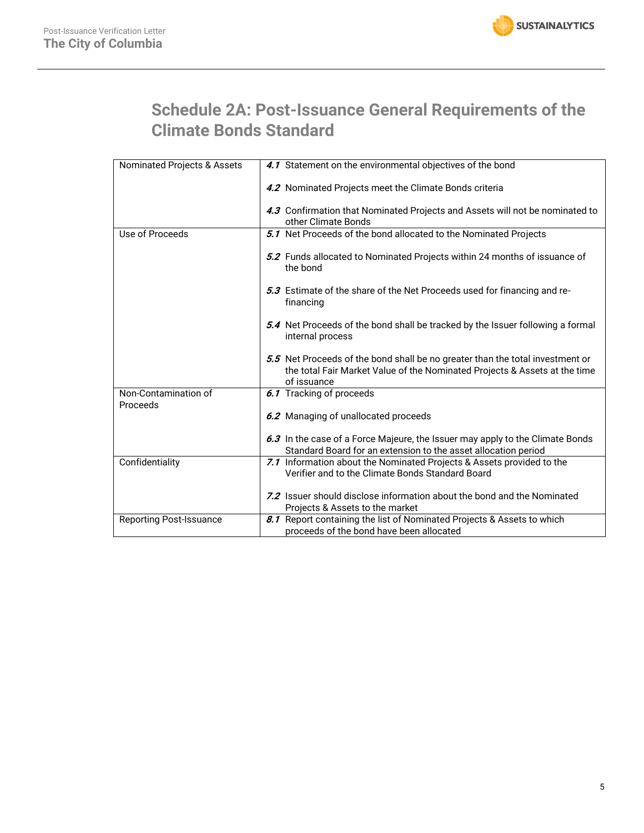# **Schedule 2A: Post-Issuance General Requirements of the Climate Bonds Standard**

| Nominated Projects & Assets    | 4.1 Statement on the environmental objectives of the bond                                                                                                                  |
|--------------------------------|----------------------------------------------------------------------------------------------------------------------------------------------------------------------------|
|                                | 4.2 Nominated Projects meet the Climate Bonds criteria                                                                                                                     |
|                                | 4.3 Confirmation that Nominated Projects and Assets will not be nominated to<br>other Climate Bonds                                                                        |
|                                |                                                                                                                                                                            |
| Use of Proceeds                | 5.1 Net Proceeds of the bond allocated to the Nominated Projects                                                                                                           |
|                                | 5.2 Funds allocated to Nominated Projects within 24 months of issuance of<br>the bond                                                                                      |
|                                | 5.3 Estimate of the share of the Net Proceeds used for financing and re-<br>financing                                                                                      |
|                                | 5.4 Net Proceeds of the bond shall be tracked by the Issuer following a formal<br>internal process                                                                         |
|                                | 5.5 Net Proceeds of the bond shall be no greater than the total investment or<br>the total Fair Market Value of the Nominated Projects & Assets at the time<br>of issuance |
| Non-Contamination of           | 6.1 Tracking of proceeds                                                                                                                                                   |
| Proceeds                       |                                                                                                                                                                            |
|                                | 6.2 Managing of unallocated proceeds                                                                                                                                       |
|                                |                                                                                                                                                                            |
|                                | 6.3 In the case of a Force Majeure, the Issuer may apply to the Climate Bonds                                                                                              |
|                                | Standard Board for an extension to the asset allocation period                                                                                                             |
| Confidentiality                | 7.1 Information about the Nominated Projects & Assets provided to the                                                                                                      |
|                                | Verifier and to the Climate Bonds Standard Board                                                                                                                           |
|                                | 7.2 Issuer should disclose information about the bond and the Nominated                                                                                                    |
|                                |                                                                                                                                                                            |
|                                | Projects & Assets to the market                                                                                                                                            |
| <b>Reporting Post-Issuance</b> | 8.1 Report containing the list of Nominated Projects & Assets to which                                                                                                     |
|                                | proceeds of the bond have been allocated                                                                                                                                   |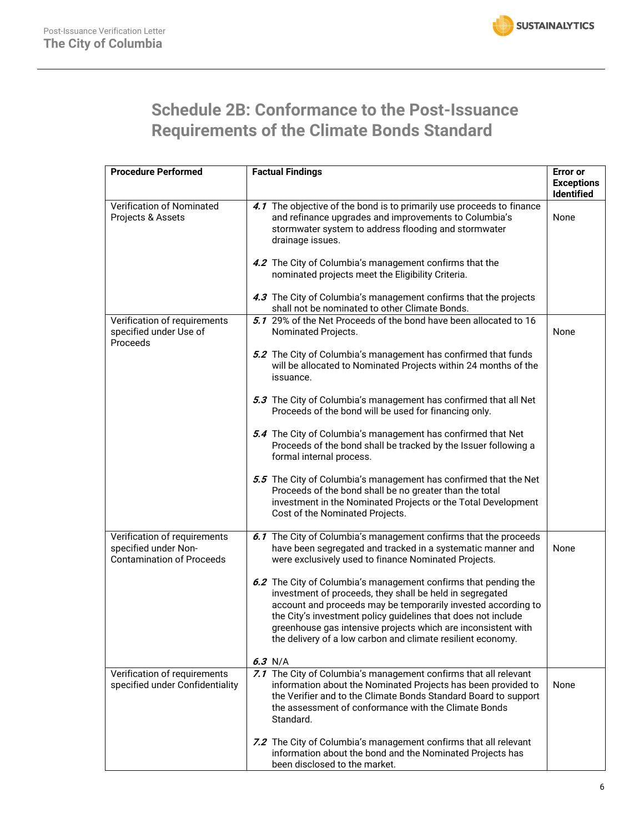

# **Schedule 2B: Conformance to the Post-Issuance Requirements of the Climate Bonds Standard**

| <b>Procedure Performed</b>                                                               | <b>Factual Findings</b>                                                                                                                                                                                                                                                                                                                                                                       | <b>Error</b> or<br><b>Exceptions</b><br><b>Identified</b> |
|------------------------------------------------------------------------------------------|-----------------------------------------------------------------------------------------------------------------------------------------------------------------------------------------------------------------------------------------------------------------------------------------------------------------------------------------------------------------------------------------------|-----------------------------------------------------------|
| Verification of Nominated<br>Projects & Assets                                           | 4.1 The objective of the bond is to primarily use proceeds to finance<br>and refinance upgrades and improvements to Columbia's<br>stormwater system to address flooding and stormwater<br>drainage issues.                                                                                                                                                                                    | None                                                      |
|                                                                                          | 4.2 The City of Columbia's management confirms that the<br>nominated projects meet the Eligibility Criteria.                                                                                                                                                                                                                                                                                  |                                                           |
|                                                                                          | 4.3 The City of Columbia's management confirms that the projects<br>shall not be nominated to other Climate Bonds.                                                                                                                                                                                                                                                                            |                                                           |
| Verification of requirements<br>specified under Use of<br>Proceeds                       | 5.1 29% of the Net Proceeds of the bond have been allocated to 16<br>Nominated Projects.                                                                                                                                                                                                                                                                                                      | None                                                      |
|                                                                                          | 5.2 The City of Columbia's management has confirmed that funds<br>will be allocated to Nominated Projects within 24 months of the<br>issuance.                                                                                                                                                                                                                                                |                                                           |
|                                                                                          | 5.3 The City of Columbia's management has confirmed that all Net<br>Proceeds of the bond will be used for financing only.                                                                                                                                                                                                                                                                     |                                                           |
|                                                                                          | 5.4 The City of Columbia's management has confirmed that Net<br>Proceeds of the bond shall be tracked by the Issuer following a<br>formal internal process.                                                                                                                                                                                                                                   |                                                           |
|                                                                                          | 5.5 The City of Columbia's management has confirmed that the Net<br>Proceeds of the bond shall be no greater than the total<br>investment in the Nominated Projects or the Total Development<br>Cost of the Nominated Projects.                                                                                                                                                               |                                                           |
| Verification of requirements<br>specified under Non-<br><b>Contamination of Proceeds</b> | 6.1 The City of Columbia's management confirms that the proceeds<br>have been segregated and tracked in a systematic manner and<br>were exclusively used to finance Nominated Projects.                                                                                                                                                                                                       | None                                                      |
|                                                                                          | 6.2 The City of Columbia's management confirms that pending the<br>investment of proceeds, they shall be held in segregated<br>account and proceeds may be temporarily invested according to<br>the City's investment policy guidelines that does not include<br>greenhouse gas intensive projects which are inconsistent with<br>the delivery of a low carbon and climate resilient economy. |                                                           |
|                                                                                          | $6.3$ N/A                                                                                                                                                                                                                                                                                                                                                                                     |                                                           |
| Verification of requirements<br>specified under Confidentiality                          | 7.1 The City of Columbia's management confirms that all relevant<br>information about the Nominated Projects has been provided to<br>the Verifier and to the Climate Bonds Standard Board to support<br>the assessment of conformance with the Climate Bonds<br>Standard.                                                                                                                     | None                                                      |
|                                                                                          | 7.2 The City of Columbia's management confirms that all relevant<br>information about the bond and the Nominated Projects has<br>been disclosed to the market.                                                                                                                                                                                                                                |                                                           |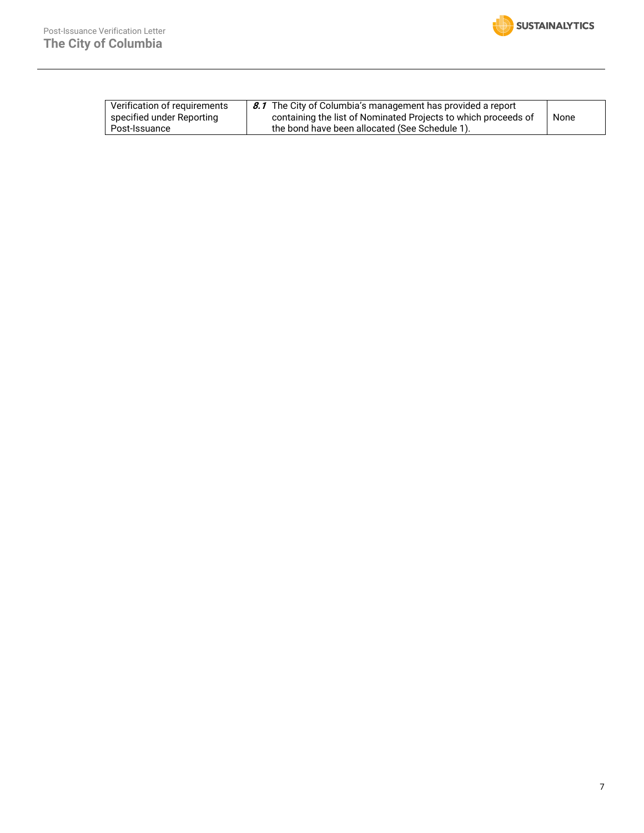| Verification of requirements | 8.1 The City of Columbia's management has provided a report    |      |
|------------------------------|----------------------------------------------------------------|------|
| specified under Reporting    | containing the list of Nominated Projects to which proceeds of | None |
| Post-Issuance                | the bond have been allocated (See Schedule 1).                 |      |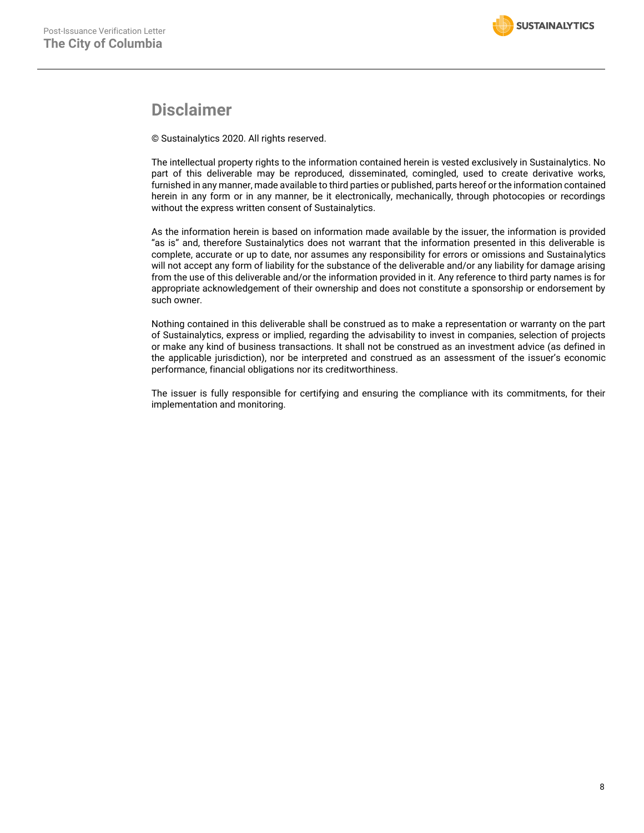### **Disclaimer**

© Sustainalytics 2020. All rights reserved.

The intellectual property rights to the information contained herein is vested exclusively in Sustainalytics. No part of this deliverable may be reproduced, disseminated, comingled, used to create derivative works, furnished in any manner, made available to third parties or published, parts hereof or the information contained herein in any form or in any manner, be it electronically, mechanically, through photocopies or recordings without the express written consent of Sustainalytics.

As the information herein is based on information made available by the issuer, the information is provided "as is" and, therefore Sustainalytics does not warrant that the information presented in this deliverable is complete, accurate or up to date, nor assumes any responsibility for errors or omissions and Sustainalytics will not accept any form of liability for the substance of the deliverable and/or any liability for damage arising from the use of this deliverable and/or the information provided in it. Any reference to third party names is for appropriate acknowledgement of their ownership and does not constitute a sponsorship or endorsement by such owner.

Nothing contained in this deliverable shall be construed as to make a representation or warranty on the part of Sustainalytics, express or implied, regarding the advisability to invest in companies, selection of projects or make any kind of business transactions. It shall not be construed as an investment advice (as defined in the applicable jurisdiction), nor be interpreted and construed as an assessment of the issuer's economic performance, financial obligations nor its creditworthiness.

The issuer is fully responsible for certifying and ensuring the compliance with its commitments, for their implementation and monitoring.